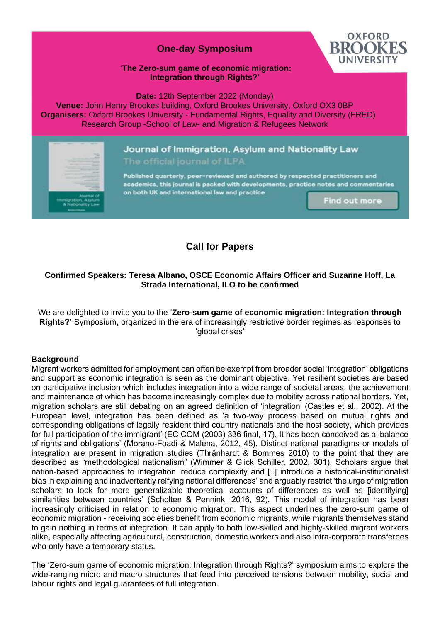## **One-day Symposium**



#### '**The Zero-sum game of economic migration: Integration through Rights?'**

**Date:** 12th September 2022 (Monday)

**Venue:** John Henry Brookes building, Oxford Brookes University, Oxford OX3 0BP  **Organisers:** Oxford Brookes University - Fundamental Rights, Equality and Diversity (FRED) Research Group -School of Law- and Migration & Refugees Network

# Journal of Immigration, Asylum and Nationality Law

Published quarterly, peer-reviewed and authored by respected practitioners and academics, this journal is packed with developments, practice notes and commentaries on both UK and international law and practice

Find out more

## **Call for Papers**

## **Confirmed Speakers: Teresa Albano, OSCE Economic Affairs Officer and Suzanne Hoff, La Strada International, ILO to be confirmed**

We are delighted to invite you to the '**Zero-sum game of economic migration: Integration through Rights?'** Symposium, organized in the era of increasingly restrictive border regimes as responses to 'global crises'

## **Background**

Migrant workers admitted for employment can often be exempt from broader social 'integration' obligations and support as economic integration is seen as the dominant objective. Yet resilient societies are based on participative inclusion which includes integration into a wide range of societal areas, the achievement and maintenance of which has become increasingly complex due to mobility across national borders. Yet, migration scholars are still debating on an agreed definition of 'integration' (Castles et al., 2002). At the European level, integration has been defined as 'a two-way process based on mutual rights and corresponding obligations of legally resident third country nationals and the host society, which provides for full participation of the immigrant' (EC COM (2003) 336 final, 17). It has been conceived as a 'balance of rights and obligations' (Morano-Foadi & Malena, 2012, 45). Distinct national paradigms or models of integration are present in migration studies (Thränhardt & Bommes 2010) to the point that they are described as "methodological nationalism" (Wimmer & Glick Schiller, 2002, 301). Scholars argue that nation-based approaches to integration 'reduce complexity and [..] introduce a historical-institutionalist bias in explaining and inadvertently reifying national differences' and arguably restrict 'the urge of migration scholars to look for more generalizable theoretical accounts of differences as well as [identifying] similarities between countries' (Scholten & Pennink, 2016, 92). This model of integration has been increasingly criticised in relation to economic migration. This aspect underlines the zero-sum game of economic migration - receiving societies benefit from economic migrants, while migrants themselves stand to gain nothing in terms of integration. It can apply to both low-skilled and highly-skilled migrant workers alike, especially affecting agricultural, construction, domestic workers and also intra-corporate transferees who only have a temporary status.

The 'Zero-sum game of economic migration: Integration through Rights?' symposium aims to explore the wide-ranging micro and macro structures that feed into perceived tensions between mobility, social and labour rights and legal guarantees of full integration.